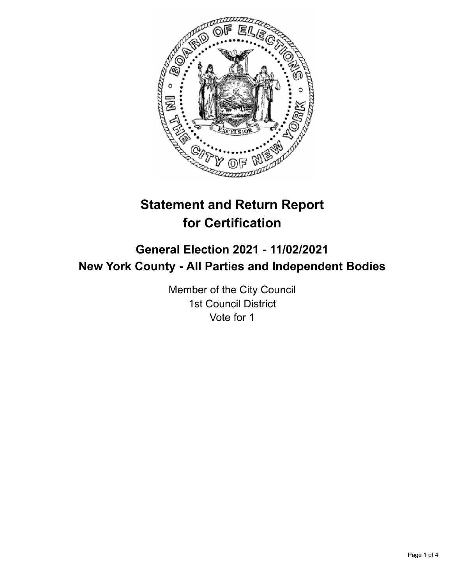

# **Statement and Return Report for Certification**

## **General Election 2021 - 11/02/2021 New York County - All Parties and Independent Bodies**

Member of the City Council 1st Council District Vote for 1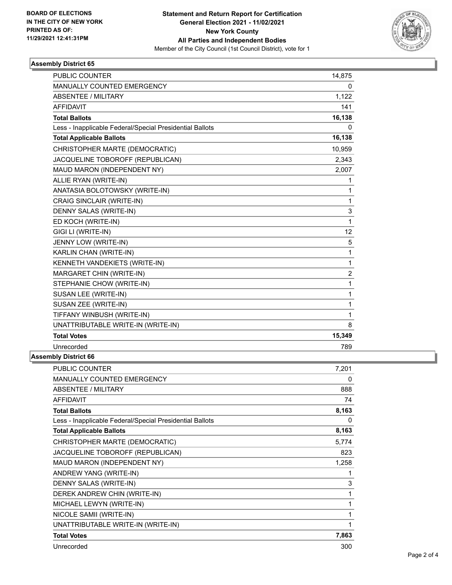

### **Assembly District 65**

| <b>PUBLIC COUNTER</b>                                    | 14,875           |
|----------------------------------------------------------|------------------|
| <b>MANUALLY COUNTED EMERGENCY</b>                        | 0                |
| ABSENTEE / MILITARY                                      | 1,122            |
| <b>AFFIDAVIT</b>                                         | 141              |
| <b>Total Ballots</b>                                     | 16,138           |
| Less - Inapplicable Federal/Special Presidential Ballots | 0                |
| <b>Total Applicable Ballots</b>                          | 16,138           |
| CHRISTOPHER MARTE (DEMOCRATIC)                           | 10,959           |
| JACQUELINE TOBOROFF (REPUBLICAN)                         | 2,343            |
| MAUD MARON (INDEPENDENT NY)                              | 2,007            |
| ALLIE RYAN (WRITE-IN)                                    | 1                |
| ANATASIA BOLOTOWSKY (WRITE-IN)                           | 1                |
| <b>CRAIG SINCLAIR (WRITE-IN)</b>                         | 1                |
| DENNY SALAS (WRITE-IN)                                   | 3                |
| ED KOCH (WRITE-IN)                                       | 1                |
| GIGI LI (WRITE-IN)                                       | 12               |
| JENNY LOW (WRITE-IN)                                     | 5                |
| KARLIN CHAN (WRITE-IN)                                   | 1                |
| KENNETH VANDEKIETS (WRITE-IN)                            | 1                |
| MARGARET CHIN (WRITE-IN)                                 | $\boldsymbol{2}$ |
| STEPHANIE CHOW (WRITE-IN)                                | 1                |
| SUSAN LEE (WRITE-IN)                                     | 1                |
| SUSAN ZEE (WRITE-IN)                                     | 1                |
| TIFFANY WINBUSH (WRITE-IN)                               | 1                |
| UNATTRIBUTABLE WRITE-IN (WRITE-IN)                       | 8                |
| <b>Total Votes</b>                                       | 15,349           |
| Unrecorded                                               | 789              |

#### **Assembly District 66**

| <b>PUBLIC COUNTER</b>                                    | 7.201 |
|----------------------------------------------------------|-------|
| <b>MANUALLY COUNTED EMERGENCY</b>                        | 0     |
| <b>ABSENTEE / MILITARY</b>                               | 888   |
| <b>AFFIDAVIT</b>                                         | 74    |
| <b>Total Ballots</b>                                     | 8,163 |
| Less - Inapplicable Federal/Special Presidential Ballots | 0     |
| <b>Total Applicable Ballots</b>                          | 8,163 |
| CHRISTOPHER MARTE (DEMOCRATIC)                           | 5,774 |
| JACQUELINE TOBOROFF (REPUBLICAN)                         | 823   |
| MAUD MARON (INDEPENDENT NY)                              | 1,258 |
| ANDREW YANG (WRITE-IN)                                   | 1     |
| DENNY SALAS (WRITE-IN)                                   | 3     |
| DEREK ANDREW CHIN (WRITE-IN)                             | 1     |
| MICHAEL LEWYN (WRITE-IN)                                 | 1     |
| NICOLE SAMII (WRITE-IN)                                  | 1     |
| UNATTRIBUTABLE WRITE-IN (WRITE-IN)                       | 1     |
| <b>Total Votes</b>                                       | 7,863 |
| Unrecorded                                               | 300   |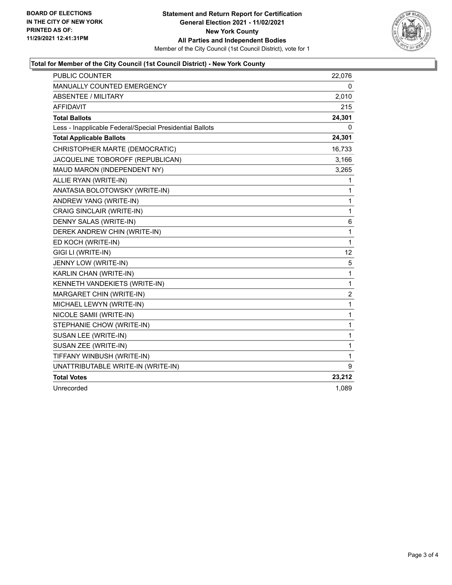

### **Total for Member of the City Council (1st Council District) - New York County**

| <b>PUBLIC COUNTER</b>                                    | 22,076       |
|----------------------------------------------------------|--------------|
| MANUALLY COUNTED EMERGENCY                               | 0            |
| ABSENTEE / MILITARY                                      | 2,010        |
| <b>AFFIDAVIT</b>                                         | 215          |
| <b>Total Ballots</b>                                     | 24,301       |
| Less - Inapplicable Federal/Special Presidential Ballots | 0            |
| <b>Total Applicable Ballots</b>                          | 24,301       |
| CHRISTOPHER MARTE (DEMOCRATIC)                           | 16,733       |
| JACQUELINE TOBOROFF (REPUBLICAN)                         | 3,166        |
| MAUD MARON (INDEPENDENT NY)                              | 3,265        |
| ALLIE RYAN (WRITE-IN)                                    | 1            |
| ANATASIA BOLOTOWSKY (WRITE-IN)                           | 1            |
| ANDREW YANG (WRITE-IN)                                   | 1            |
| CRAIG SINCLAIR (WRITE-IN)                                | $\mathbf{1}$ |
| DENNY SALAS (WRITE-IN)                                   | 6            |
| DEREK ANDREW CHIN (WRITE-IN)                             | $\mathbf{1}$ |
| ED KOCH (WRITE-IN)                                       | $\mathbf{1}$ |
| GIGI LI (WRITE-IN)                                       | 12           |
| JENNY LOW (WRITE-IN)                                     | 5            |
| KARLIN CHAN (WRITE-IN)                                   | $\mathbf{1}$ |
| KENNETH VANDEKIETS (WRITE-IN)                            | 1            |
| MARGARET CHIN (WRITE-IN)                                 | 2            |
| MICHAEL LEWYN (WRITE-IN)                                 | $\mathbf{1}$ |
| NICOLE SAMII (WRITE-IN)                                  | $\mathbf 1$  |
| STEPHANIE CHOW (WRITE-IN)                                | 1            |
| SUSAN LEE (WRITE-IN)                                     | 1            |
| SUSAN ZEE (WRITE-IN)                                     | $\mathbf{1}$ |
| TIFFANY WINBUSH (WRITE-IN)                               | $\mathbf{1}$ |
| UNATTRIBUTABLE WRITE-IN (WRITE-IN)                       | 9            |
| <b>Total Votes</b>                                       | 23,212       |
| Unrecorded                                               | 1,089        |